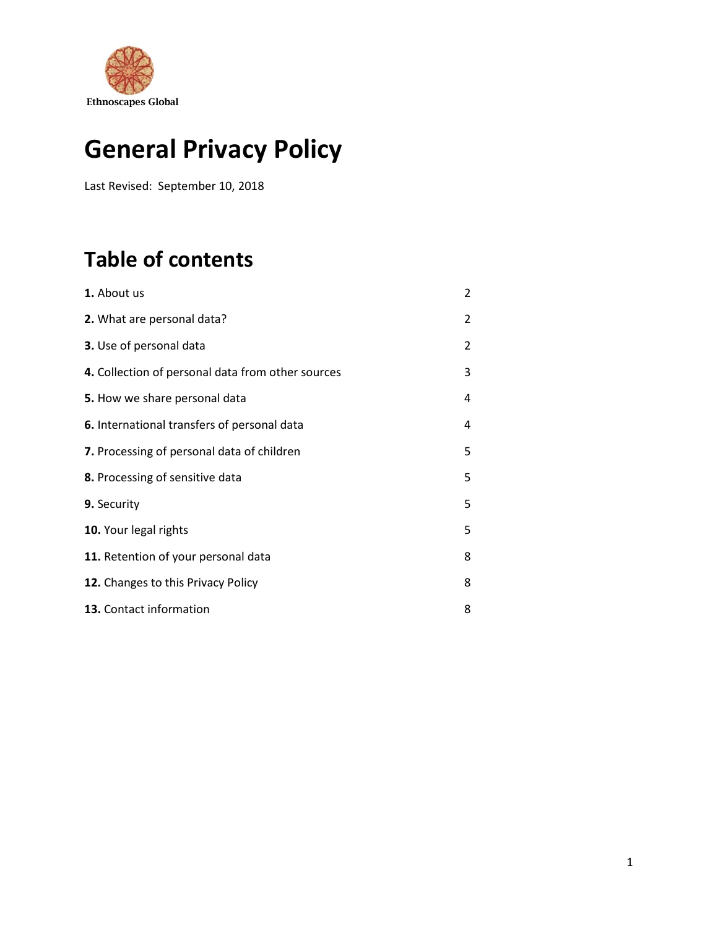

## **General Privacy Policy**

Last Revised: September 10, 2018

## **Table of contents**

| 1. About us                                       | $\overline{2}$ |
|---------------------------------------------------|----------------|
| 2. What are personal data?                        | 2              |
| 3. Use of personal data                           | 2              |
| 4. Collection of personal data from other sources | 3              |
| 5. How we share personal data                     | 4              |
| 6. International transfers of personal data       | 4              |
| 7. Processing of personal data of children        | 5              |
| 8. Processing of sensitive data                   | 5              |
| 9. Security                                       | 5              |
| 10. Your legal rights                             | 5              |
| 11. Retention of your personal data               | 8              |
| 12. Changes to this Privacy Policy                | 8              |
| 13. Contact information                           | 8              |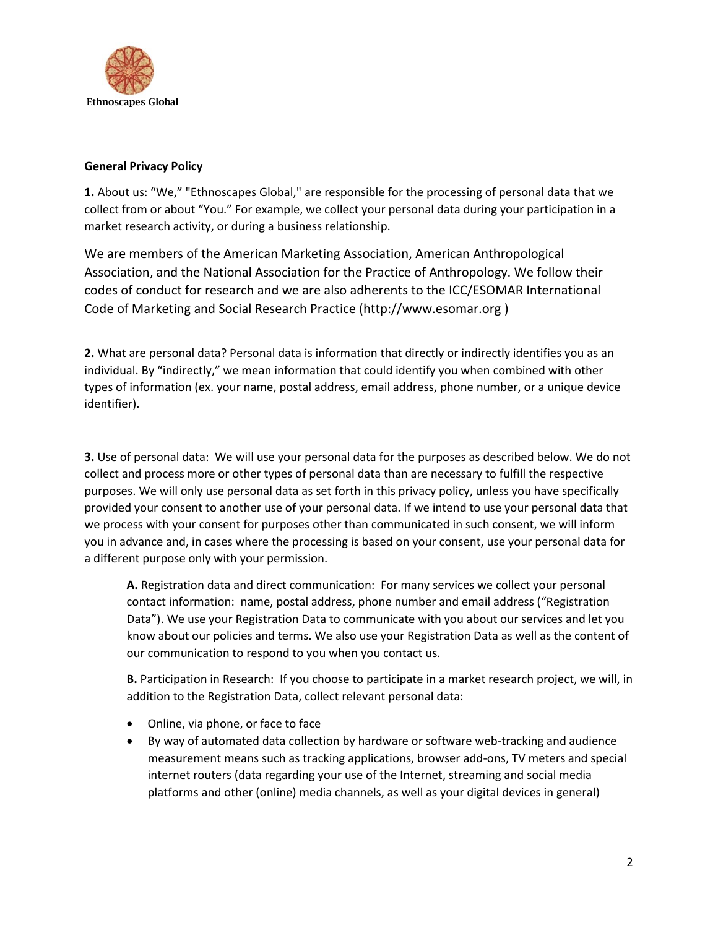

## **General Privacy Policy**

**1.** About us: "We," "Ethnoscapes Global," are responsible for the processing of personal data that we collect from or about "You." For example, we collect your personal data during your participation in a market research activity, or during a business relationship.

We are members of the American Marketing Association, American Anthropological Association, and the National Association for the Practice of Anthropology. We follow their codes of conduct for research and we are also adherents to the ICC/ESOMAR International Code of Marketing and Social Research Practice (http://www.esomar.org )

**2.** What are personal data? Personal data is information that directly or indirectly identifies you as an individual. By "indirectly," we mean information that could identify you when combined with other types of information (ex. your name, postal address, email address, phone number, or a unique device identifier).

**3.** Use of personal data: We will use your personal data for the purposes as described below. We do not collect and process more or other types of personal data than are necessary to fulfill the respective purposes. We will only use personal data as set forth in this privacy policy, unless you have specifically provided your consent to another use of your personal data. If we intend to use your personal data that we process with your consent for purposes other than communicated in such consent, we will inform you in advance and, in cases where the processing is based on your consent, use your personal data for a different purpose only with your permission.

**A.** Registration data and direct communication: For many services we collect your personal contact information: name, postal address, phone number and email address ("Registration Data"). We use your Registration Data to communicate with you about our services and let you know about our policies and terms. We also use your Registration Data as well as the content of our communication to respond to you when you contact us.

**B.** Participation in Research: If you choose to participate in a market research project, we will, in addition to the Registration Data, collect relevant personal data:

- Online, via phone, or face to face
- By way of automated data collection by hardware or software web-tracking and audience measurement means such as tracking applications, browser add-ons, TV meters and special internet routers (data regarding your use of the Internet, streaming and social media platforms and other (online) media channels, as well as your digital devices in general)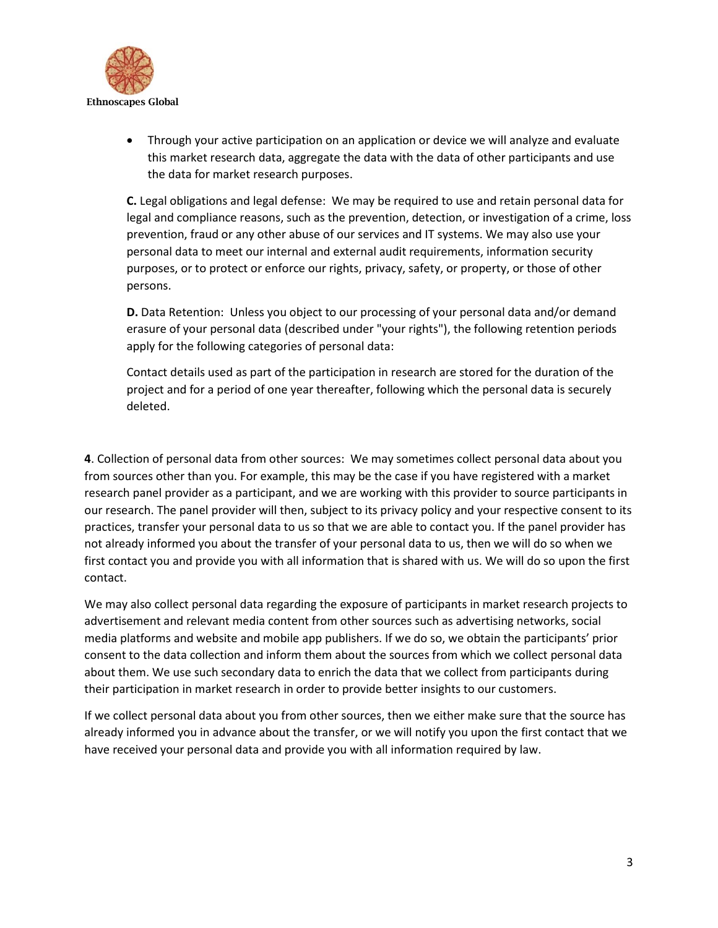

• Through your active participation on an application or device we will analyze and evaluate this market research data, aggregate the data with the data of other participants and use the data for market research purposes.

**C.** Legal obligations and legal defense: We may be required to use and retain personal data for legal and compliance reasons, such as the prevention, detection, or investigation of a crime, loss prevention, fraud or any other abuse of our services and IT systems. We may also use your personal data to meet our internal and external audit requirements, information security purposes, or to protect or enforce our rights, privacy, safety, or property, or those of other persons.

**D.** Data Retention: Unless you object to our processing of your personal data and/or demand erasure of your personal data (described under "your rights"), the following retention periods apply for the following categories of personal data:

Contact details used as part of the participation in research are stored for the duration of the project and for a period of one year thereafter, following which the personal data is securely deleted.

**4**. Collection of personal data from other sources: We may sometimes collect personal data about you from sources other than you. For example, this may be the case if you have registered with a market research panel provider as a participant, and we are working with this provider to source participants in our research. The panel provider will then, subject to its privacy policy and your respective consent to its practices, transfer your personal data to us so that we are able to contact you. If the panel provider has not already informed you about the transfer of your personal data to us, then we will do so when we first contact you and provide you with all information that is shared with us. We will do so upon the first contact.

We may also collect personal data regarding the exposure of participants in market research projects to advertisement and relevant media content from other sources such as advertising networks, social media platforms and website and mobile app publishers. If we do so, we obtain the participants' prior consent to the data collection and inform them about the sources from which we collect personal data about them. We use such secondary data to enrich the data that we collect from participants during their participation in market research in order to provide better insights to our customers.

If we collect personal data about you from other sources, then we either make sure that the source has already informed you in advance about the transfer, or we will notify you upon the first contact that we have received your personal data and provide you with all information required by law.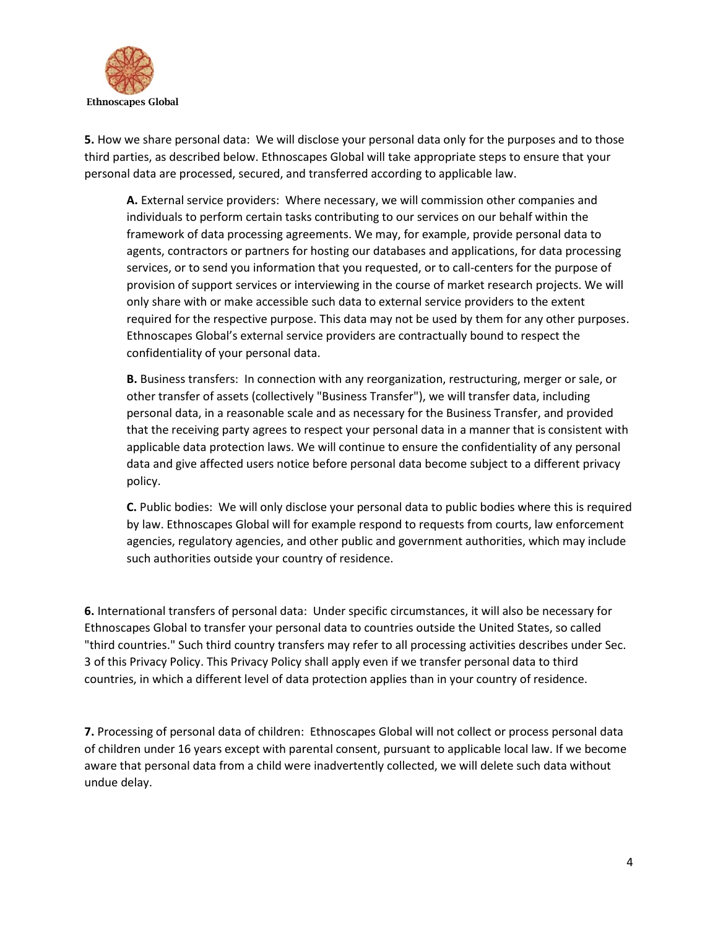

**5.** How we share personal data: We will disclose your personal data only for the purposes and to those third parties, as described below. Ethnoscapes Global will take appropriate steps to ensure that your personal data are processed, secured, and transferred according to applicable law.

**A.** External service providers: Where necessary, we will commission other companies and individuals to perform certain tasks contributing to our services on our behalf within the framework of data processing agreements. We may, for example, provide personal data to agents, contractors or partners for hosting our databases and applications, for data processing services, or to send you information that you requested, or to call-centers for the purpose of provision of support services or interviewing in the course of market research projects. We will only share with or make accessible such data to external service providers to the extent required for the respective purpose. This data may not be used by them for any other purposes. Ethnoscapes Global's external service providers are contractually bound to respect the confidentiality of your personal data.

**B.** Business transfers: In connection with any reorganization, restructuring, merger or sale, or other transfer of assets (collectively "Business Transfer"), we will transfer data, including personal data, in a reasonable scale and as necessary for the Business Transfer, and provided that the receiving party agrees to respect your personal data in a manner that is consistent with applicable data protection laws. We will continue to ensure the confidentiality of any personal data and give affected users notice before personal data become subject to a different privacy policy.

**C.** Public bodies: We will only disclose your personal data to public bodies where this is required by law. Ethnoscapes Global will for example respond to requests from courts, law enforcement agencies, regulatory agencies, and other public and government authorities, which may include such authorities outside your country of residence.

**6.** International transfers of personal data: Under specific circumstances, it will also be necessary for Ethnoscapes Global to transfer your personal data to countries outside the United States, so called "third countries." Such third country transfers may refer to all processing activities describes under Sec. 3 of this Privacy Policy. This Privacy Policy shall apply even if we transfer personal data to third countries, in which a different level of data protection applies than in your country of residence.

**7.** Processing of personal data of children: Ethnoscapes Global will not collect or process personal data of children under 16 years except with parental consent, pursuant to applicable local law. If we become aware that personal data from a child were inadvertently collected, we will delete such data without undue delay.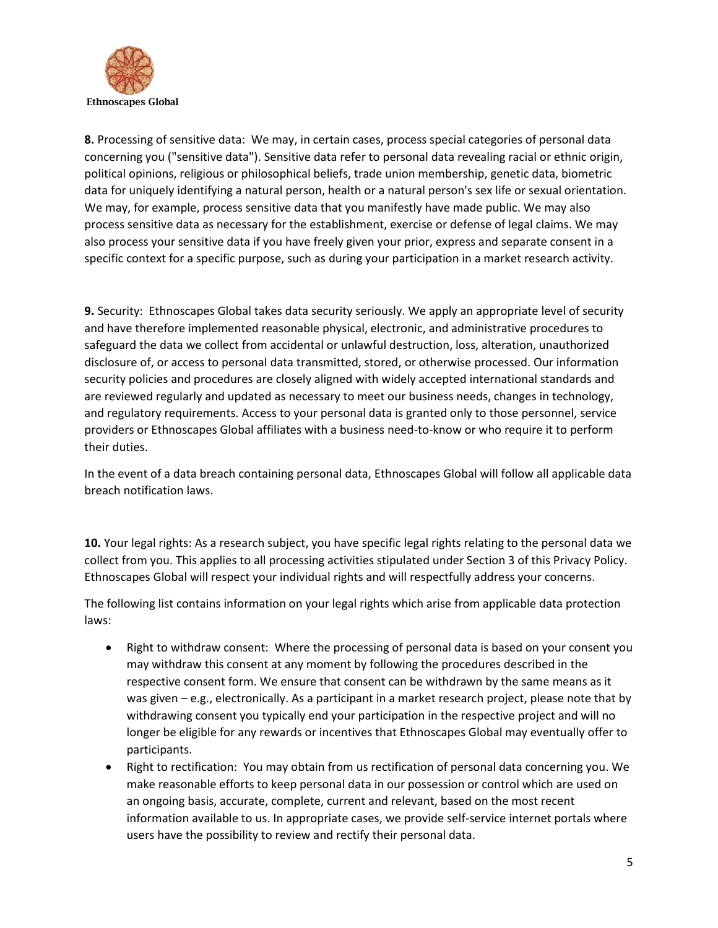

**8.** Processing of sensitive data: We may, in certain cases, process special categories of personal data concerning you ("sensitive data"). Sensitive data refer to personal data revealing racial or ethnic origin, political opinions, religious or philosophical beliefs, trade union membership, genetic data, biometric data for uniquely identifying a natural person, health or a natural person's sex life or sexual orientation. We may, for example, process sensitive data that you manifestly have made public. We may also process sensitive data as necessary for the establishment, exercise or defense of legal claims. We may also process your sensitive data if you have freely given your prior, express and separate consent in a specific context for a specific purpose, such as during your participation in a market research activity.

**9.** Security: Ethnoscapes Global takes data security seriously. We apply an appropriate level of security and have therefore implemented reasonable physical, electronic, and administrative procedures to safeguard the data we collect from accidental or unlawful destruction, loss, alteration, unauthorized disclosure of, or access to personal data transmitted, stored, or otherwise processed. Our information security policies and procedures are closely aligned with widely accepted international standards and are reviewed regularly and updated as necessary to meet our business needs, changes in technology, and regulatory requirements. Access to your personal data is granted only to those personnel, service providers or Ethnoscapes Global affiliates with a business need-to-know or who require it to perform their duties.

In the event of a data breach containing personal data, Ethnoscapes Global will follow all applicable data breach notification laws.

**10.** Your legal rights: As a research subject, you have specific legal rights relating to the personal data we collect from you. This applies to all processing activities stipulated under Section 3 of this Privacy Policy. Ethnoscapes Global will respect your individual rights and will respectfully address your concerns.

The following list contains information on your legal rights which arise from applicable data protection laws:

- Right to withdraw consent: Where the processing of personal data is based on your consent you may withdraw this consent at any moment by following the procedures described in the respective consent form. We ensure that consent can be withdrawn by the same means as it was given – e.g., electronically. As a participant in a market research project, please note that by withdrawing consent you typically end your participation in the respective project and will no longer be eligible for any rewards or incentives that Ethnoscapes Global may eventually offer to participants.
- Right to rectification: You may obtain from us rectification of personal data concerning you. We make reasonable efforts to keep personal data in our possession or control which are used on an ongoing basis, accurate, complete, current and relevant, based on the most recent information available to us. In appropriate cases, we provide self-service internet portals where users have the possibility to review and rectify their personal data.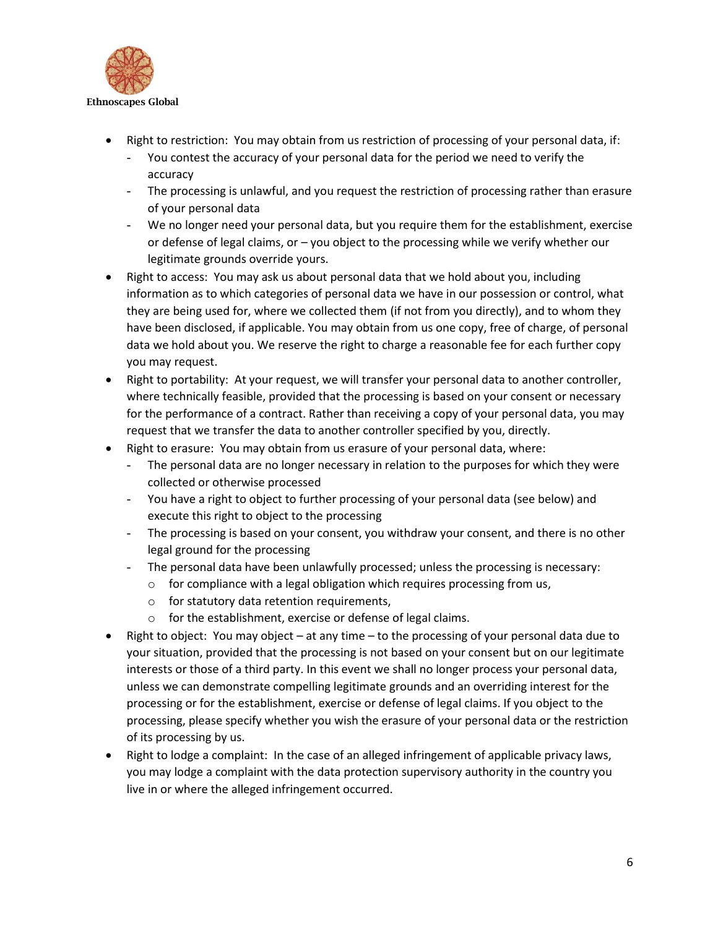

- Right to restriction: You may obtain from us restriction of processing of your personal data, if:
	- You contest the accuracy of your personal data for the period we need to verify the accuracy
	- The processing is unlawful, and you request the restriction of processing rather than erasure of your personal data
	- We no longer need your personal data, but you require them for the establishment, exercise or defense of legal claims, or – you object to the processing while we verify whether our legitimate grounds override yours.
- Right to access: You may ask us about personal data that we hold about you, including information as to which categories of personal data we have in our possession or control, what they are being used for, where we collected them (if not from you directly), and to whom they have been disclosed, if applicable. You may obtain from us one copy, free of charge, of personal data we hold about you. We reserve the right to charge a reasonable fee for each further copy you may request.
- Right to portability: At your request, we will transfer your personal data to another controller, where technically feasible, provided that the processing is based on your consent or necessary for the performance of a contract. Rather than receiving a copy of your personal data, you may request that we transfer the data to another controller specified by you, directly.
- Right to erasure: You may obtain from us erasure of your personal data, where:
	- The personal data are no longer necessary in relation to the purposes for which they were collected or otherwise processed
	- You have a right to object to further processing of your personal data (see below) and execute this right to object to the processing
	- The processing is based on your consent, you withdraw your consent, and there is no other legal ground for the processing
	- The personal data have been unlawfully processed; unless the processing is necessary:
		- $\circ$  for compliance with a legal obligation which requires processing from us,
		- o for statutory data retention requirements,
		- o for the establishment, exercise or defense of legal claims.
- Right to object: You may object at any time to the processing of your personal data due to your situation, provided that the processing is not based on your consent but on our legitimate interests or those of a third party. In this event we shall no longer process your personal data, unless we can demonstrate compelling legitimate grounds and an overriding interest for the processing or for the establishment, exercise or defense of legal claims. If you object to the processing, please specify whether you wish the erasure of your personal data or the restriction of its processing by us.
- Right to lodge a complaint: In the case of an alleged infringement of applicable privacy laws, you may lodge a complaint with the data protection supervisory authority in the country you live in or where the alleged infringement occurred.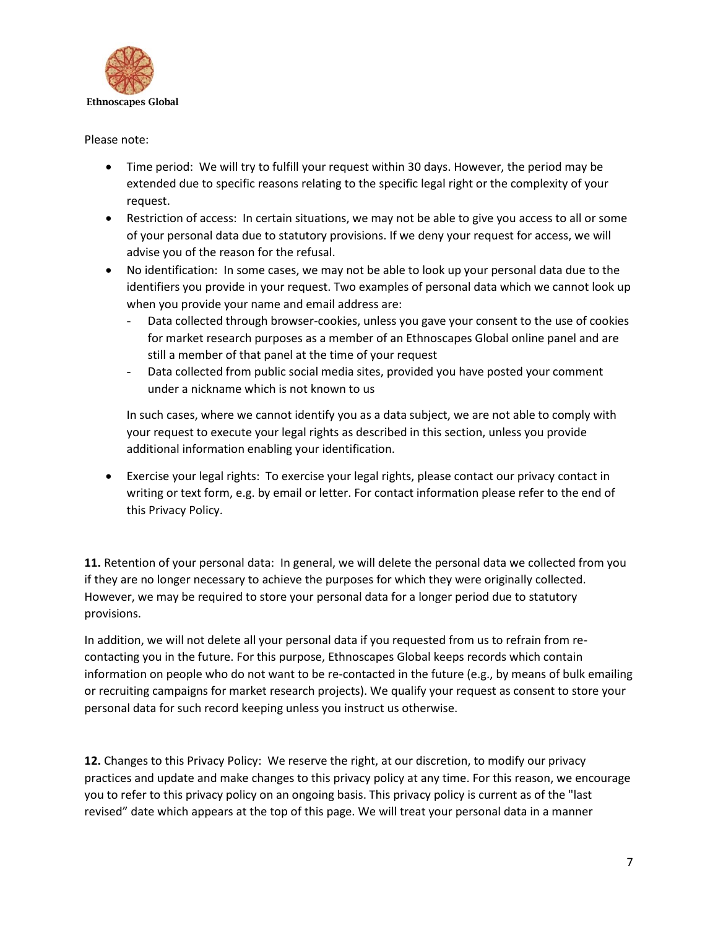

Please note:

- Time period: We will try to fulfill your request within 30 days. However, the period may be extended due to specific reasons relating to the specific legal right or the complexity of your request.
- Restriction of access: In certain situations, we may not be able to give you access to all or some of your personal data due to statutory provisions. If we deny your request for access, we will advise you of the reason for the refusal.
- No identification: In some cases, we may not be able to look up your personal data due to the identifiers you provide in your request. Two examples of personal data which we cannot look up when you provide your name and email address are:
	- Data collected through browser-cookies, unless you gave your consent to the use of cookies for market research purposes as a member of an Ethnoscapes Global online panel and are still a member of that panel at the time of your request
	- Data collected from public social media sites, provided you have posted your comment under a nickname which is not known to us

In such cases, where we cannot identify you as a data subject, we are not able to comply with your request to execute your legal rights as described in this section, unless you provide additional information enabling your identification.

• Exercise your legal rights: To exercise your legal rights, please contact our privacy contact in writing or text form, e.g. by email or letter. For contact information please refer to the end of this Privacy Policy.

**11.** Retention of your personal data: In general, we will delete the personal data we collected from you if they are no longer necessary to achieve the purposes for which they were originally collected. However, we may be required to store your personal data for a longer period due to statutory provisions.

In addition, we will not delete all your personal data if you requested from us to refrain from recontacting you in the future. For this purpose, Ethnoscapes Global keeps records which contain information on people who do not want to be re-contacted in the future (e.g., by means of bulk emailing or recruiting campaigns for market research projects). We qualify your request as consent to store your personal data for such record keeping unless you instruct us otherwise.

**12.** Changes to this Privacy Policy: We reserve the right, at our discretion, to modify our privacy practices and update and make changes to this privacy policy at any time. For this reason, we encourage you to refer to this privacy policy on an ongoing basis. This privacy policy is current as of the "last revised" date which appears at the top of this page. We will treat your personal data in a manner